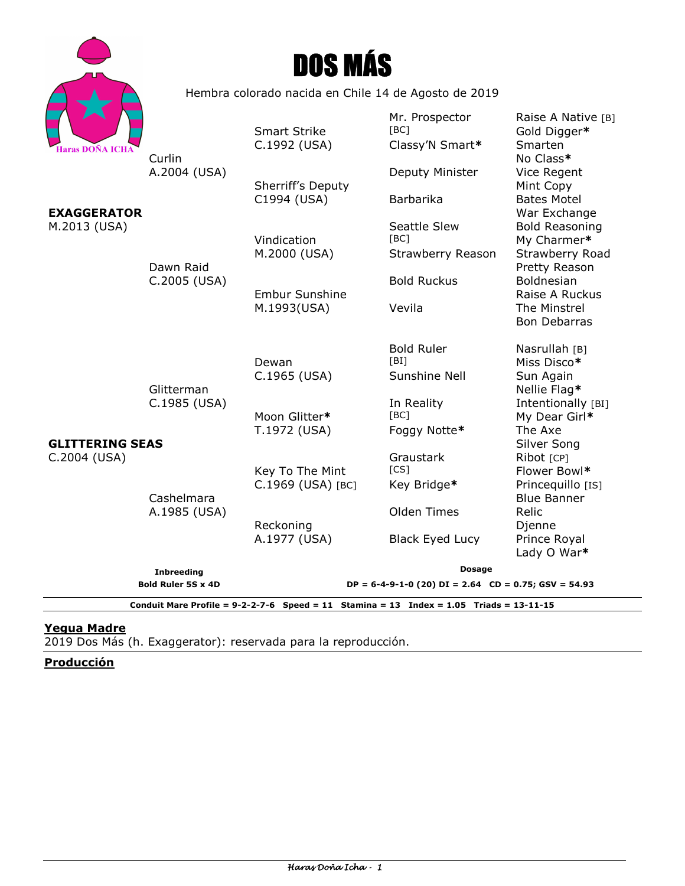|                                                                                           |                                                      | <b>DOS MÁS</b>                                                            |                                            |                                                            |
|-------------------------------------------------------------------------------------------|------------------------------------------------------|---------------------------------------------------------------------------|--------------------------------------------|------------------------------------------------------------|
|                                                                                           | Hembra colorado nacida en Chile 14 de Agosto de 2019 |                                                                           |                                            |                                                            |
| <b>Haras DOÑA ICHA</b>                                                                    | Curlin                                               | <b>Smart Strike</b><br>C.1992 (USA)                                       | Mr. Prospector<br>[BC]<br>Classy'N Smart*  | Raise A Native [B]<br>Gold Digger*<br>Smarten<br>No Class* |
|                                                                                           | A.2004 (USA)                                         | Sherriff's Deputy                                                         | Deputy Minister                            | Vice Regent<br>Mint Copy                                   |
| <b>EXAGGERATOR</b>                                                                        |                                                      | C1994 (USA)                                                               | <b>Barbarika</b>                           | <b>Bates Motel</b><br>War Exchange                         |
| M.2013 (USA)                                                                              |                                                      | Vindication<br>M.2000 (USA)                                               | Seattle Slew<br>[BC]<br>Strawberry Reason  | <b>Bold Reasoning</b><br>My Charmer*<br>Strawberry Road    |
|                                                                                           | Dawn Raid<br>C.2005 (USA)                            |                                                                           | <b>Bold Ruckus</b>                         | Pretty Reason<br>Boldnesian                                |
| <b>GLITTERING SEAS</b><br>C.2004 (USA)                                                    |                                                      | <b>Embur Sunshine</b><br>M.1993(USA)                                      | Vevila                                     | Raise A Ruckus<br>The Minstrel<br><b>Bon Debarras</b>      |
|                                                                                           |                                                      | Dewan<br>C.1965 (USA)                                                     | <b>Bold Ruler</b><br>[BI]<br>Sunshine Nell | Nasrullah [B]<br>Miss Disco*<br>Sun Again                  |
|                                                                                           | Glitterman<br>C.1985 (USA)                           | Moon Glitter*                                                             | In Reality<br>[BC]                         | Nellie Flag*<br>Intentionally [BI]<br>My Dear Girl*        |
|                                                                                           | Cashelmara<br>A.1985 (USA)                           | T.1972 (USA)                                                              | Foggy Notte*                               | The Axe<br>Silver Song                                     |
|                                                                                           |                                                      | Key To The Mint<br>C.1969 (USA) [BC]                                      | Graustark<br>[CS]<br>Key Bridge*           | Ribot [CP]<br>Flower Bowl*<br>Princequillo [IS]            |
|                                                                                           |                                                      | Reckoning                                                                 | Olden Times                                | <b>Blue Banner</b><br>Relic<br>Djenne                      |
|                                                                                           |                                                      | A.1977 (USA)                                                              | <b>Black Eyed Lucy</b>                     | Prince Royal<br>Lady O War*                                |
|                                                                                           | <b>Inbreeding</b><br><b>Bold Ruler 5S x 4D</b>       | <b>Dosage</b><br>$DP = 6-4-9-1-0$ (20) $DI = 2.64$ CD = 0.75; GSV = 54.93 |                                            |                                                            |
| Conduit Mare Profile = $9-2-2-7-6$ Speed = 11 Stamina = 13 Index = 1.05 Triads = 13-11-15 |                                                      |                                                                           |                                            |                                                            |

#### **Yegua Madre**

Haras Doña Icha

2019 Dos Más (h. Exaggerator): reservada para la reproducción.

**Producción**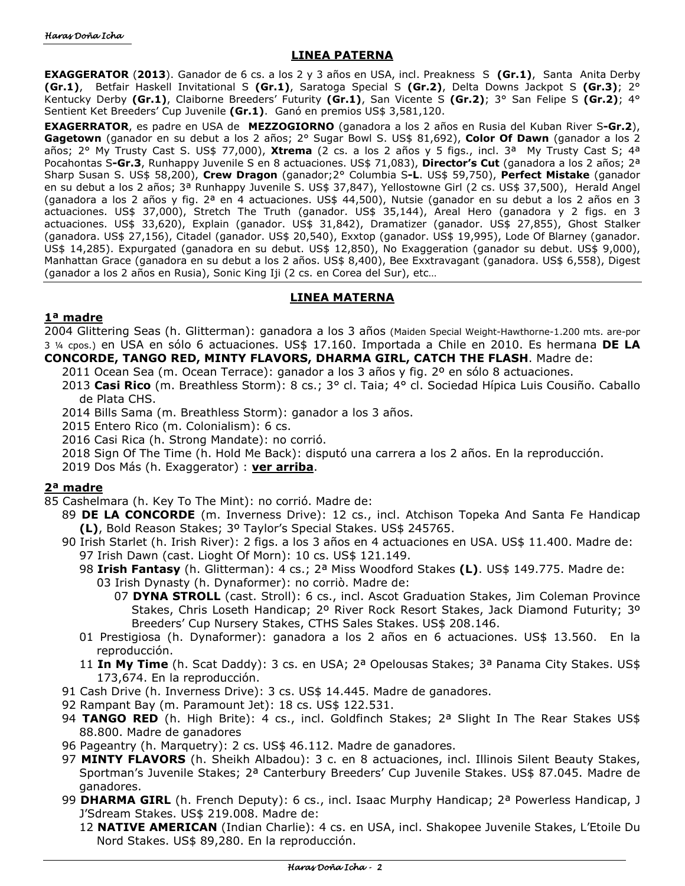## **LINEA PATERNA**

**EXAGGERATOR** (**2013**). Ganador de 6 cs. a los 2 y 3 años en USA, incl. Preakness S **(Gr.1)**, Santa Anita Derby **(Gr.1)**, Betfair Haskell Invitational S **(Gr.1)**, Saratoga Special S **(Gr.2)**, Delta Downs Jackpot S **(Gr.3)**; 2° Kentucky Derby **(Gr.1)**, Claiborne Breeders' Futurity **(Gr.1)**, San Vicente S **(Gr.2)**; 3° San Felipe S **(Gr.2)**; 4° Sentient Ket Breeders' Cup Juvenile **(Gr.1)**. Ganó en premios US\$ 3,581,120.

**EXAGERRATOR**, es padre en USA de **MEZZOGIORNO** (ganadora a los 2 años en Rusia del Kuban River S**-Gr.2**), **Gagetown** (ganador en su debut a los 2 años; 2° Sugar Bowl S. US\$ 81,692), **Color Of Dawn** (ganador a los 2 años; 2° My Trusty Cast S. US\$ 77,000), **Xtrema** (2 cs. a los 2 años y 5 figs., incl. 3ª My Trusty Cast S; 4ª Pocahontas S**-Gr.3**, Runhappy Juvenile S en 8 actuaciones. US\$ 71,083), **Director's Cut** (ganadora a los 2 años; 2ª Sharp Susan S. US\$ 58,200), **Crew Dragon** (ganador;2° Columbia S**-L**. US\$ 59,750), **Perfect Mistake** (ganador en su debut a los 2 años; 3ª Runhappy Juvenile S. US\$ 37,847), Yellostowne Girl (2 cs. US\$ 37,500), Herald Angel (ganadora a los 2 años y fig. 2ª en 4 actuaciones. US\$ 44,500), Nutsie (ganador en su debut a los 2 años en 3 actuaciones. US\$ 37,000), Stretch The Truth (ganador. US\$ 35,144), Areal Hero (ganadora y 2 figs. en 3 actuaciones. US\$ 33,620), Explain (ganador. US\$ 31,842), Dramatizer (ganador. US\$ 27,855), Ghost Stalker (ganadora. US\$ 27,156), Citadel (ganador. US\$ 20,540), Exxtop (ganador. US\$ 19,995), Lode Of Blarney (ganador. US\$ 14,285). Expurgated (ganadora en su debut. US\$ 12,850), No Exaggeration (ganador su debut. US\$ 9,000), Manhattan Grace (ganadora en su debut a los 2 años. US\$ 8,400), Bee Exxtravagant (ganadora. US\$ 6,558), Digest (ganador a los 2 años en Rusia), Sonic King Iji (2 cs. en Corea del Sur), etc…

## **LINEA MATERNA**

## **1ª madre**

2004 Glittering Seas (h. Glitterman): ganadora a los 3 años (Maiden Special Weight-Hawthorne-1.200 mts. are-por 3 ¼ cpos.) en USA en sólo 6 actuaciones. US\$ 17.160. Importada a Chile en 2010. Es hermana **DE LA CONCORDE, TANGO RED, MINTY FLAVORS, DHARMA GIRL, CATCH THE FLASH**. Madre de:

- 2011 Ocean Sea (m. Ocean Terrace): ganador a los 3 años y fig. 2º en sólo 8 actuaciones.
- 2013 **Casi Rico** (m. Breathless Storm): 8 cs.; 3° cl. Taia; 4° cl. Sociedad Hípica Luis Cousiño. Caballo de Plata CHS.
- 2014 Bills Sama (m. Breathless Storm): ganador a los 3 años.
- 2015 Entero Rico (m. Colonialism): 6 cs.
- 2016 Casi Rica (h. Strong Mandate): no corrió.
- 2018 Sign Of The Time (h. Hold Me Back): disputó una carrera a los 2 años. En la reproducción.
- 2019 Dos Más (h. Exaggerator) : **ver arriba**.

# **2ª madre**

85 Cashelmara (h. Key To The Mint): no corrió. Madre de:

- 89 **DE LA CONCORDE** (m. Inverness Drive): 12 cs., incl. Atchison Topeka And Santa Fe Handicap **(L)**, Bold Reason Stakes; 3º Taylor's Special Stakes. US\$ 245765.
- 90 Irish Starlet (h. Irish River): 2 figs. a los 3 años en 4 actuaciones en USA. US\$ 11.400. Madre de: 97 Irish Dawn (cast. Lioght Of Morn): 10 cs. US\$ 121.149.
	- 98 **Irish Fantasy** (h. Glitterman): 4 cs.; 2ª Miss Woodford Stakes **(L)**. US\$ 149.775. Madre de: 03 Irish Dynasty (h. Dynaformer): no corriò. Madre de:
		- 07 **DYNA STROLL** (cast. Stroll): 6 cs., incl. Ascot Graduation Stakes, Jim Coleman Province Stakes, Chris Loseth Handicap; 2º River Rock Resort Stakes, Jack Diamond Futurity; 3º Breeders' Cup Nursery Stakes, CTHS Sales Stakes. US\$ 208.146.
	- 01 Prestigiosa (h. Dynaformer): ganadora a los 2 años en 6 actuaciones. US\$ 13.560. En la reproducción.
	- 11 **In My Time** (h. Scat Daddy): 3 cs. en USA; 2ª Opelousas Stakes; 3ª Panama City Stakes. US\$ 173,674. En la reproducción.
- 91 Cash Drive (h. Inverness Drive): 3 cs. US\$ 14.445. Madre de ganadores.
- 92 Rampant Bay (m. Paramount Jet): 18 cs. US\$ 122.531.
- 94 **TANGO RED** (h. High Brite): 4 cs., incl. Goldfinch Stakes; 2ª Slight In The Rear Stakes US\$ 88.800. Madre de ganadores
- 96 Pageantry (h. Marquetry): 2 cs. US\$ 46.112. Madre de ganadores.
- 97 **MINTY FLAVORS** (h. Sheikh Albadou): 3 c. en 8 actuaciones, incl. Illinois Silent Beauty Stakes, Sportman's Juvenile Stakes; 2ª Canterbury Breeders' Cup Juvenile Stakes. US\$ 87.045. Madre de ganadores.
- 99 **DHARMA GIRL** (h. French Deputy): 6 cs., incl. Isaac Murphy Handicap; 2ª Powerless Handicap, J J'Sdream Stakes. US\$ 219.008. Madre de:
	- 12 **NATIVE AMERICAN** (Indian Charlie): 4 cs. en USA, incl. Shakopee Juvenile Stakes, L'Etoile Du Nord Stakes. US\$ 89,280. En la reproducción.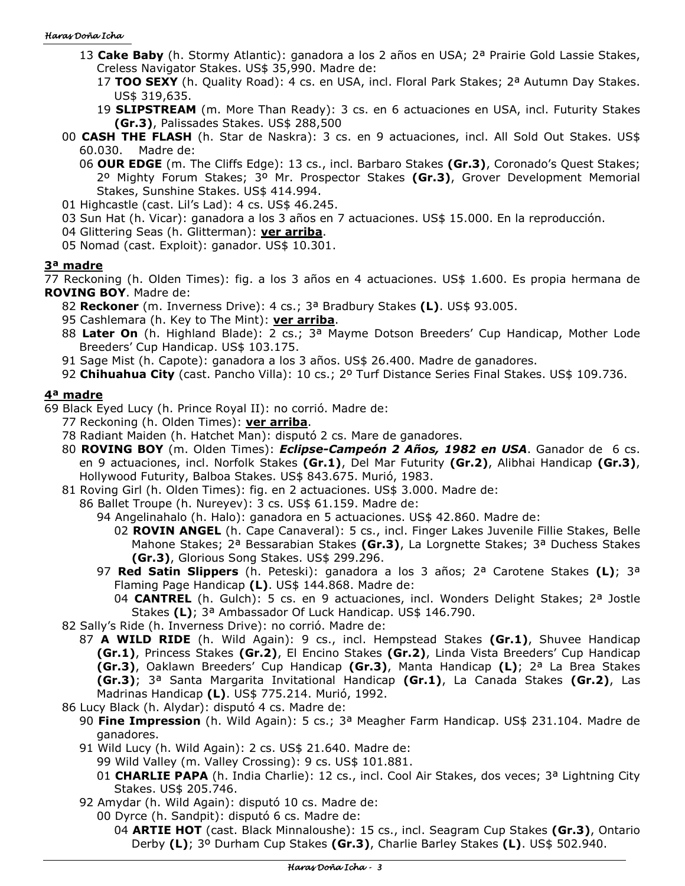#### Haras Doña Icha

- 13 **Cake Baby** (h. Stormy Atlantic): ganadora a los 2 años en USA; 2ª Prairie Gold Lassie Stakes, Creless Navigator Stakes. US\$ 35,990. Madre de:
	- 17 **TOO SEXY** (h. Quality Road): 4 cs. en USA, incl. Floral Park Stakes; 2ª Autumn Day Stakes. US\$ 319,635.
	- 19 **SLIPSTREAM** (m. More Than Ready): 3 cs. en 6 actuaciones en USA, incl. Futurity Stakes **(Gr.3)**, Palissades Stakes. US\$ 288,500
- 00 **CASH THE FLASH** (h. Star de Naskra): 3 cs. en 9 actuaciones, incl. All Sold Out Stakes. US\$ 60.030. Madre de:
	- 06 **OUR EDGE** (m. The Cliffs Edge): 13 cs., incl. Barbaro Stakes **(Gr.3)**, Coronado's Quest Stakes; 2º Mighty Forum Stakes; 3º Mr. Prospector Stakes **(Gr.3)**, Grover Development Memorial Stakes, Sunshine Stakes. US\$ 414.994.
- 01 Highcastle (cast. Lil's Lad): 4 cs. US\$ 46.245.
- 03 Sun Hat (h. Vicar): ganadora a los 3 años en 7 actuaciones. US\$ 15.000. En la reproducción.
- 04 Glittering Seas (h. Glitterman): **ver arriba**.
- 05 Nomad (cast. Exploit): ganador. US\$ 10.301.

# **3ª madre**

77 Reckoning (h. Olden Times): fig. a los 3 años en 4 actuaciones. US\$ 1.600. Es propia hermana de **ROVING BOY**. Madre de:

- 82 **Reckoner** (m. Inverness Drive): 4 cs.; 3ª Bradbury Stakes **(L)**. US\$ 93.005.
- 95 Cashlemara (h. Key to The Mint): **ver arriba**.
- 88 **Later On** (h. Highland Blade): 2 cs.; 3ª Mayme Dotson Breeders' Cup Handicap, Mother Lode Breeders' Cup Handicap. US\$ 103.175.
- 91 Sage Mist (h. Capote): ganadora a los 3 años. US\$ 26.400. Madre de ganadores.
- 92 **Chihuahua City** (cast. Pancho Villa): 10 cs.; 2º Turf Distance Series Final Stakes. US\$ 109.736.

# **4ª madre**

69 Black Eyed Lucy (h. Prince Royal II): no corrió. Madre de:

- 77 Reckoning (h. Olden Times): **ver arriba**.
- 78 Radiant Maiden (h. Hatchet Man): disputó 2 cs. Mare de ganadores.
- 80 **ROVING BOY** (m. Olden Times): *Eclipse-Campeón 2 Años, 1982 en USA*. Ganador de 6 cs. en 9 actuaciones, incl. Norfolk Stakes **(Gr.1)**, Del Mar Futurity **(Gr.2)**, Alibhai Handicap **(Gr.3)**, Hollywood Futurity, Balboa Stakes. US\$ 843.675. Murió, 1983.
- 81 Roving Girl (h. Olden Times): fig. en 2 actuaciones. US\$ 3.000. Madre de:
	- 86 Ballet Troupe (h. Nureyev): 3 cs. US\$ 61.159. Madre de:

94 Angelinahalo (h. Halo): ganadora en 5 actuaciones. US\$ 42.860. Madre de:

- 02 **ROVIN ANGEL** (h. Cape Canaveral): 5 cs., incl. Finger Lakes Juvenile Fillie Stakes, Belle Mahone Stakes; 2ª Bessarabian Stakes **(Gr.3)**, La Lorgnette Stakes; 3ª Duchess Stakes **(Gr.3)**, Glorious Song Stakes. US\$ 299.296.
- 97 **Red Satin Slippers** (h. Peteski): ganadora a los 3 años; 2ª Carotene Stakes **(L)**; 3ª Flaming Page Handicap **(L)**. US\$ 144.868. Madre de:
	- 04 **CANTREL** (h. Gulch): 5 cs. en 9 actuaciones, incl. Wonders Delight Stakes; 2ª Jostle Stakes **(L)**; 3ª Ambassador Of Luck Handicap. US\$ 146.790.
- 82 Sally's Ride (h. Inverness Drive): no corrió. Madre de:
	- 87 **A WILD RIDE** (h. Wild Again): 9 cs., incl. Hempstead Stakes **(Gr.1)**, Shuvee Handicap **(Gr.1)**, Princess Stakes **(Gr.2)**, El Encino Stakes **(Gr.2)**, Linda Vista Breeders' Cup Handicap
		- **(Gr.3)**, Oaklawn Breeders' Cup Handicap **(Gr.3)**, Manta Handicap **(L)**; 2ª La Brea Stakes
		- **(Gr.3)**; 3ª Santa Margarita Invitational Handicap **(Gr.1)**, La Canada Stakes **(Gr.2)**, Las Madrinas Handicap **(L)**. US\$ 775.214. Murió, 1992.
- 86 Lucy Black (h. Alydar): disputó 4 cs. Madre de:
	- 90 **Fine Impression** (h. Wild Again): 5 cs.; 3ª Meagher Farm Handicap. US\$ 231.104. Madre de ganadores.
	- 91 Wild Lucy (h. Wild Again): 2 cs. US\$ 21.640. Madre de:

99 Wild Valley (m. Valley Crossing): 9 cs. US\$ 101.881.

- 01 **CHARLIE PAPA** (h. India Charlie): 12 cs., incl. Cool Air Stakes, dos veces; 3ª Lightning City Stakes. US\$ 205.746.
- 92 Amydar (h. Wild Again): disputó 10 cs. Madre de:
	- 00 Dyrce (h. Sandpit): disputó 6 cs. Madre de:
		- 04 **ARTIE HOT** (cast. Black Minnaloushe): 15 cs., incl. Seagram Cup Stakes **(Gr.3)**, Ontario Derby **(L)**; 3º Durham Cup Stakes **(Gr.3)**, Charlie Barley Stakes **(L)**. US\$ 502.940.